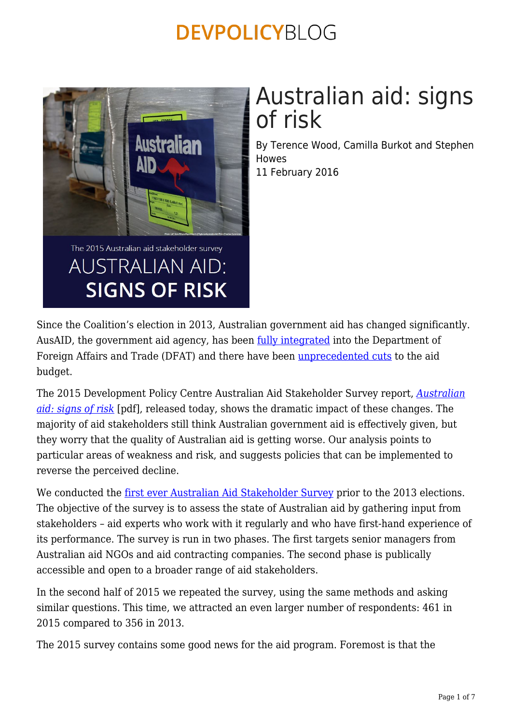

# Australian aid: signs of risk

By Terence Wood, Camilla Burkot and Stephen Howes 11 February 2016

Since the Coalition's election in 2013, Australian government aid has changed significantly. AusAID, the government aid agency, has been [fully integrated](https://devpolicy.org/a-year-in-the-life-australias-integrated-aid-administration-20141201/) into the Department of Foreign Affairs and Trade (DFAT) and there have been [unprecedented cuts](https://devpolicy.org/biggest-aid-cuts-ever-produce-our-least-generous-aid-budget-ever-20141215-2/) to the aid budget.

The 2015 Development Policy Centre Australian Aid Stakeholder Survey report, *[Australian](https://devpolicy.org/publications/reports/2015%20Stakeholder%20Survey/2015%20Australian%20Aid%20Stakeholder%20Survey%20Final%20Online.pdf) [aid: signs of risk](https://devpolicy.org/publications/reports/2015%20Stakeholder%20Survey/2015%20Australian%20Aid%20Stakeholder%20Survey%20Final%20Online.pdf)* [pdf], released today, shows the dramatic impact of these changes. The majority of aid stakeholders still think Australian government aid is effectively given, but they worry that the quality of Australian aid is getting worse. Our analysis points to particular areas of weakness and risk, and suggests policies that can be implemented to reverse the perceived decline.

We conducted the <u>first ever Australian Aid Stakeholder Survey</u> prior to the 2013 elections. The objective of the survey is to assess the state of Australian aid by gathering input from stakeholders – aid experts who work with it regularly and who have first-hand experience of its performance. The survey is run in two phases. The first targets senior managers from Australian aid NGOs and aid contracting companies. The second phase is publically accessible and open to a broader range of aid stakeholders.

In the second half of 2015 we repeated the survey, using the same methods and asking similar questions. This time, we attracted an even larger number of respondents: 461 in 2015 compared to 356 in 2013.

The 2015 survey contains some good news for the aid program. Foremost is that the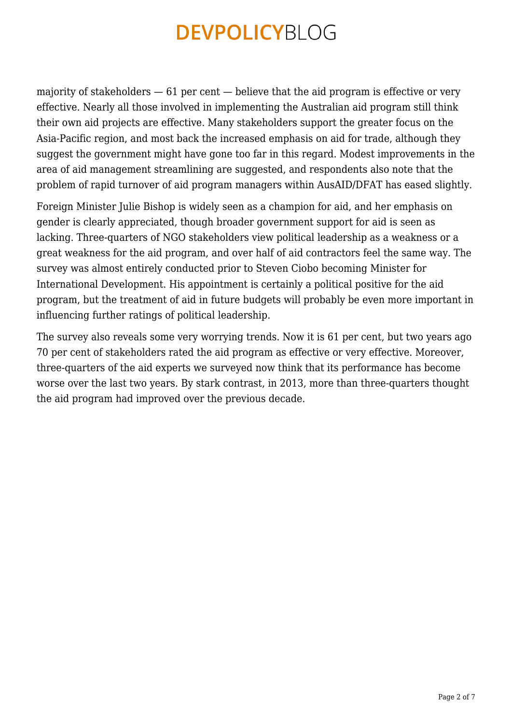majority of stakeholders  $-61$  per cent  $-$  believe that the aid program is effective or very effective. Nearly all those involved in implementing the Australian aid program still think their own aid projects are effective. Many stakeholders support the greater focus on the Asia-Pacific region, and most back the increased emphasis on aid for trade, although they suggest the government might have gone too far in this regard. Modest improvements in the area of aid management streamlining are suggested, and respondents also note that the problem of rapid turnover of aid program managers within AusAID/DFAT has eased slightly.

Foreign Minister Julie Bishop is widely seen as a champion for aid, and her emphasis on gender is clearly appreciated, though broader government support for aid is seen as lacking. Three-quarters of NGO stakeholders view political leadership as a weakness or a great weakness for the aid program, and over half of aid contractors feel the same way. The survey was almost entirely conducted prior to Steven Ciobo becoming Minister for International Development. His appointment is certainly a political positive for the aid program, but the treatment of aid in future budgets will probably be even more important in influencing further ratings of political leadership.

The survey also reveals some very worrying trends. Now it is 61 per cent, but two years ago 70 per cent of stakeholders rated the aid program as effective or very effective. Moreover, three-quarters of the aid experts we surveyed now think that its performance has become worse over the last two years. By stark contrast, in 2013, more than three-quarters thought the aid program had improved over the previous decade.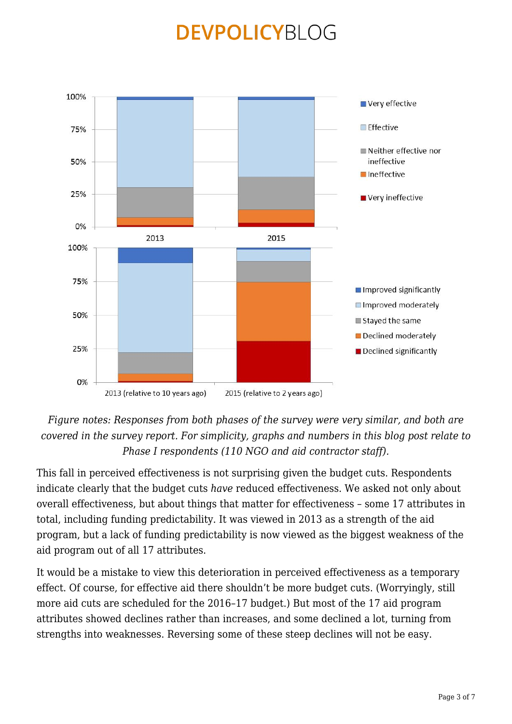

#### *Figure notes: Responses from both phases of the survey were very similar, and both are covered in the survey report. For simplicity, graphs and numbers in this blog post relate to Phase I respondents (110 NGO and aid contractor staff).*

This fall in perceived effectiveness is not surprising given the budget cuts. Respondents indicate clearly that the budget cuts *have* reduced effectiveness. We asked not only about overall effectiveness, but about things that matter for effectiveness – some 17 attributes in total, including funding predictability. It was viewed in 2013 as a strength of the aid program, but a lack of funding predictability is now viewed as the biggest weakness of the aid program out of all 17 attributes.

It would be a mistake to view this deterioration in perceived effectiveness as a temporary effect. Of course, for effective aid there shouldn't be more budget cuts. (Worryingly, still more aid cuts are scheduled for the 2016–17 budget.) But most of the 17 aid program attributes showed declines rather than increases, and some declined a lot, turning from strengths into weaknesses. Reversing some of these steep declines will not be easy.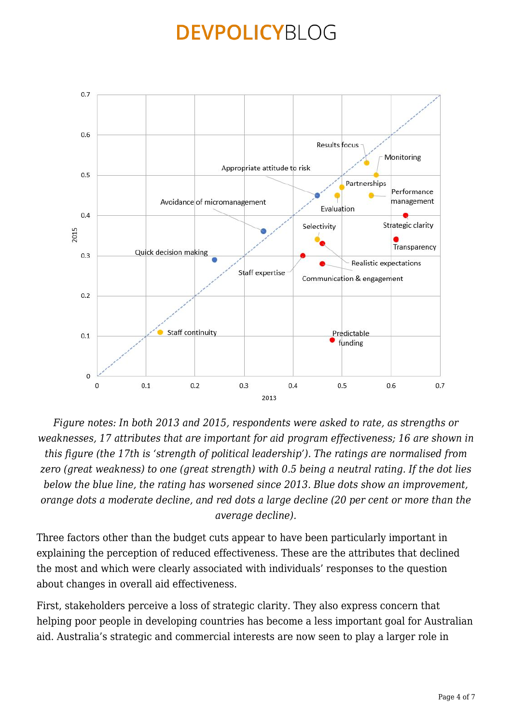

*Figure notes: In both 2013 and 2015, respondents were asked to rate, as strengths or weaknesses, 17 attributes that are important for aid program effectiveness; 16 are shown in this figure (the 17th is 'strength of political leadership'). The ratings are normalised from zero (great weakness) to one (great strength) with 0.5 being a neutral rating. If the dot lies below the blue line, the rating has worsened since 2013. Blue dots show an improvement, orange dots a moderate decline, and red dots a large decline (20 per cent or more than the average decline).*

Three factors other than the budget cuts appear to have been particularly important in explaining the perception of reduced effectiveness. These are the attributes that declined the most and which were clearly associated with individuals' responses to the question about changes in overall aid effectiveness.

First, stakeholders perceive a loss of strategic clarity. They also express concern that helping poor people in developing countries has become a less important goal for Australian aid. Australia's strategic and commercial interests are now seen to play a larger role in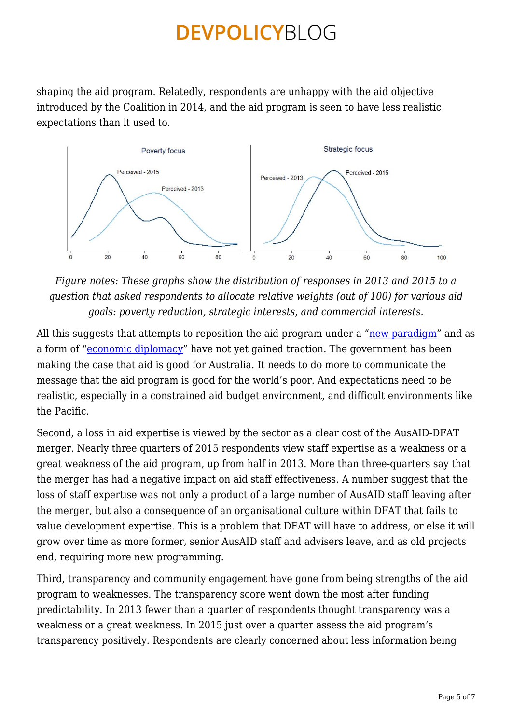shaping the aid program. Relatedly, respondents are unhappy with the aid objective introduced by the Coalition in 2014, and the aid program is seen to have less realistic expectations than it used to.



*Figure notes: These graphs show the distribution of responses in 2013 and 2015 to a question that asked respondents to allocate relative weights (out of 100) for various aid goals: poverty reduction, strategic interests, and commercial interests.*

All this suggests that attempts to reposition the aid program under a ["new paradigm"](https://devpolicy.org/the-new-aid-paradigm-is-it-new-and-what-does-it-do-for-aid-reform-20140619/) and as a form of ["economic diplomacy"](https://devpolicy.org/australias-economic-diplomacy-is-this-good-development-20140818-2/) have not yet gained traction. The government has been making the case that aid is good for Australia. It needs to do more to communicate the message that the aid program is good for the world's poor. And expectations need to be realistic, especially in a constrained aid budget environment, and difficult environments like the Pacific.

Second, a loss in aid expertise is viewed by the sector as a clear cost of the AusAID-DFAT merger. Nearly three quarters of 2015 respondents view staff expertise as a weakness or a great weakness of the aid program, up from half in 2013. More than three-quarters say that the merger has had a negative impact on aid staff effectiveness. A number suggest that the loss of staff expertise was not only a product of a large number of AusAID staff leaving after the merger, but also a consequence of an organisational culture within DFAT that fails to value development expertise. This is a problem that DFAT will have to address, or else it will grow over time as more former, senior AusAID staff and advisers leave, and as old projects end, requiring more new programming.

Third, transparency and community engagement have gone from being strengths of the aid program to weaknesses. The transparency score went down the most after funding predictability. In 2013 fewer than a quarter of respondents thought transparency was a weakness or a great weakness. In 2015 just over a quarter assess the aid program's transparency positively. Respondents are clearly concerned about less information being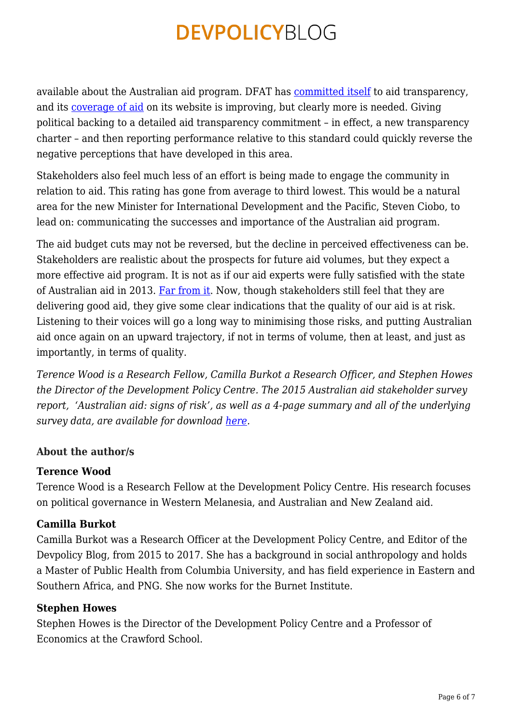available about the Australian aid program. DFAT has [committed itself](http://dfat.gov.au/about-us/corporate/transparency/Pages/transparency.aspx) to aid transparency, and its [coverage of aid](http://dfat.gov.au/aid/where-we-give-aid/Pages/where-we-give-aid.aspx) on its website is improving, but clearly more is needed. Giving political backing to a detailed aid transparency commitment – in effect, a new transparency charter – and then reporting performance relative to this standard could quickly reverse the negative perceptions that have developed in this area.

Stakeholders also feel much less of an effort is being made to engage the community in relation to aid. This rating has gone from average to third lowest. This would be a natural area for the new Minister for International Development and the Pacific, Steven Ciobo, to lead on: communicating the successes and importance of the Australian aid program.

The aid budget cuts may not be reversed, but the decline in perceived effectiveness can be. Stakeholders are realistic about the prospects for future aid volumes, but they expect a more effective aid program. It is not as if our aid experts were fully satisfied with the state of Australian aid in 2013. [Far from it](https://devpolicy.org/2013-australian-aid-stakeholder-survey-part-2-20131219/). Now, though stakeholders still feel that they are delivering good aid, they give some clear indications that the quality of our aid is at risk. Listening to their voices will go a long way to minimising those risks, and putting Australian aid once again on an upward trajectory, if not in terms of volume, then at least, and just as importantly, in terms of quality.

*Terence Wood is a Research Fellow, Camilla Burkot a Research Officer, and Stephen Howes the Director of the Development Policy Centre. The 2015 Australian aid stakeholder survey report, 'Australian aid: signs of risk', as well as a 4-page summary and all of the underlying survey data, are available for download [here](https://devpolicy.crawford.anu.edu.au/aid-stakeholder-survey/2015).* 

#### **About the author/s**

#### **Terence Wood**

Terence Wood is a Research Fellow at the Development Policy Centre. His research focuses on political governance in Western Melanesia, and Australian and New Zealand aid.

#### **Camilla Burkot**

Camilla Burkot was a Research Officer at the Development Policy Centre, and Editor of the Devpolicy Blog, from 2015 to 2017. She has a background in social anthropology and holds a Master of Public Health from Columbia University, and has field experience in Eastern and Southern Africa, and PNG. She now works for the Burnet Institute.

#### **Stephen Howes**

Stephen Howes is the Director of the Development Policy Centre and a Professor of Economics at the Crawford School.